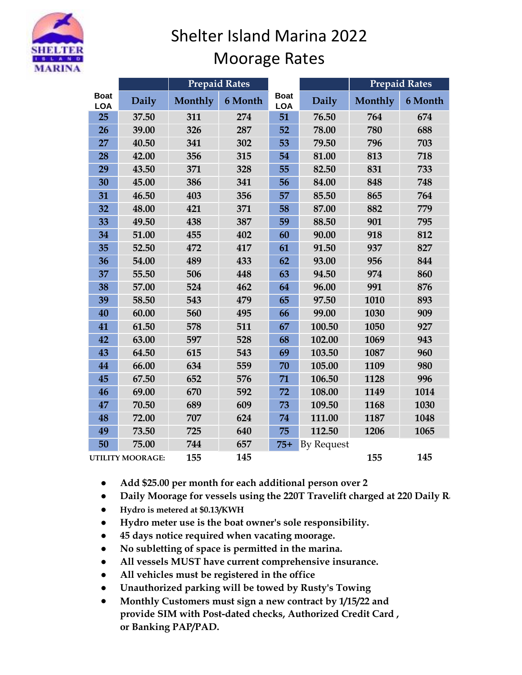

## Shelter Island Marina 2022 Moorage Rates

|                           |                         | <b>Prepaid Rates</b> |         |                           |                   | <b>Prepaid Rates</b> |         |
|---------------------------|-------------------------|----------------------|---------|---------------------------|-------------------|----------------------|---------|
| <b>Boat</b><br><b>LOA</b> | Daily                   | Monthly              | 6 Month | <b>Boat</b><br><b>LOA</b> | Daily             | Monthly              | 6 Month |
| 25                        | 37.50                   | 311                  | 274     | 51                        | 76.50             | 764                  | 674     |
| 26                        | 39.00                   | 326                  | 287     | 52                        | 78.00             | 780                  | 688     |
| 27                        | 40.50                   | 341                  | 302     | 53                        | 79.50             | 796                  | 703     |
| 28                        | 42.00                   | 356                  | 315     | 54                        | 81.00             | 813                  | 718     |
| 29                        | 43.50                   | 371                  | 328     | 55                        | 82.50             | 831                  | 733     |
| 30                        | 45.00                   | 386                  | 341     | 56                        | 84.00             | 848                  | 748     |
| 31                        | 46.50                   | 403                  | 356     | 57                        | 85.50             | 865                  | 764     |
| 32                        | 48.00                   | 421                  | 371     | 58                        | 87.00             | 882                  | 779     |
| 33                        | 49.50                   | 438                  | 387     | 59                        | 88.50             | 901                  | 795     |
| 34                        | 51.00                   | 455                  | 402     | 60                        | 90.00             | 918                  | 812     |
| 35                        | 52.50                   | 472                  | 417     | 61                        | 91.50             | 937                  | 827     |
| 36                        | 54.00                   | 489                  | 433     | 62                        | 93.00             | 956                  | 844     |
| 37                        | 55.50                   | 506                  | 448     | 63                        | 94.50             | 974                  | 860     |
| 38                        | 57.00                   | 524                  | 462     | 64                        | 96.00             | 991                  | 876     |
| 39                        | 58.50                   | 543                  | 479     | 65                        | 97.50             | 1010                 | 893     |
| 40                        | 60.00                   | 560                  | 495     | 66                        | 99.00             | 1030                 | 909     |
| 41                        | 61.50                   | 578                  | 511     | 67                        | 100.50            | 1050                 | 927     |
| 42                        | 63.00                   | 597                  | 528     | 68                        | 102.00            | 1069                 | 943     |
| 43                        | 64.50                   | 615                  | 543     | 69                        | 103.50            | 1087                 | 960     |
| 44                        | 66.00                   | 634                  | 559     | 70                        | 105.00            | 1109                 | 980     |
| 45                        | 67.50                   | 652                  | 576     | 71                        | 106.50            | 1128                 | 996     |
| 46                        | 69.00                   | 670                  | 592     | 72                        | 108.00            | 1149                 | 1014    |
| 47                        | 70.50                   | 689                  | 609     | 73                        | 109.50            | 1168                 | 1030    |
| 48                        | 72.00                   | 707                  | 624     | 74                        | 111.00            | 1187                 | 1048    |
| 49                        | 73.50                   | 725                  | 640     | 75                        | 112.50            | 1206                 | 1065    |
| 50                        | 75.00                   | 744                  | 657     | $75+$                     | <b>By Request</b> |                      |         |
|                           | <b>UTILITY MOORAGE:</b> | 155                  | 145     |                           |                   | 155                  | 145     |

- Add \$25.00 per month for each additional person over 2
- **Daily Moorage for vessels using the 220T Travelift charged at 220 Daily Rates**
- **Hydro is metered at \$0.13/KWH**
- **Hydro meter use is the boat owner's sole responsibility.**
- **45 days notice required when vacating moorage.**
- **No subletting of space is permitted in the marina.**
- All vessels MUST have current comprehensive insurance.
- All vehicles must be registered in the office
- **Unauthorized parking will be towed by Rusty's Towing**
- **Monthly Customers must sign a new contract by 1/15/22 and provide SIM with Post-dated checks, Authorized Credit Card , or Banking PAP/PAD.**